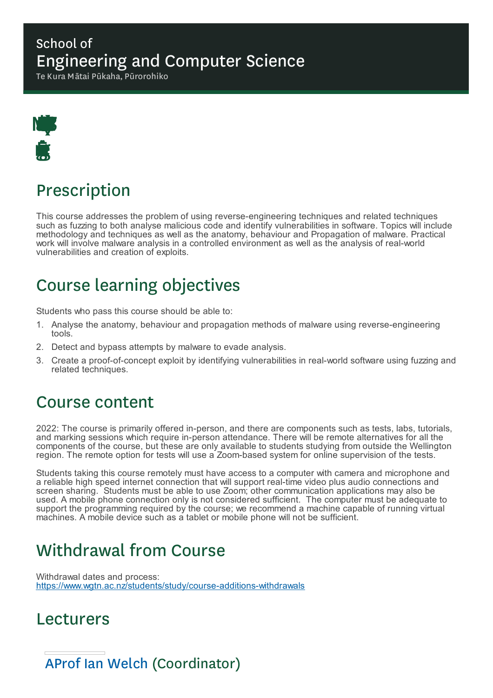### School of Engineering and Computer Science

Te Kura Mātai Pūkaha, Pūrorohiko



# Prescription

This course addresses the problem of using reverse-engineering techniques and related techniques such as fuzzing to both analyse malicious code and identify vulnerabilities in software. Topics will include methodology and techniques as well as the anatomy, behaviour and Propagation of malware. Practical work will involve malware analysis in a controlled environment as well as the analysis of real-world vulnerabilities and creation of exploits.

# Course learning objectives

Students who pass this course should be able to:

- 1. Analyse the anatomy, behaviour and propagation methods of malware using reverse-engineering tools.
- 2. Detect and bypass attempts by malware to evade analysis.
- 3. Create a proof-of-concept exploit by identifying vulnerabilities in real-world software using fuzzing and related techniques.

### Course content

2022: The course is primarily offered in-person, and there are components such as tests, labs, tutorials, and marking sessions which require in-person attendance. There will be remote alternatives for all the components of the course, but these are only available to students studying from outside the Wellington region. The remote option for tests will use a Zoom-based system for online supervision of the tests.

Students taking this course remotely must have access to a computer with camera and microphone and a reliable high speed internet connection that will support real-time video plus audio connections and screen sharing. Students must be able to use Zoom; other communication applications may also be used. A mobile phone connection only is not considered sufficient. The computer must be adequate to support the programming required by the course; we recommend a machine capable of running virtual machines. A mobile device such as a tablet or mobile phone will not be sufficient.

# Withdrawal from Course

Withdrawal dates and process: https://www.wgtn.ac.nz/students/study/course-additions-withdrawals

### Lecturers

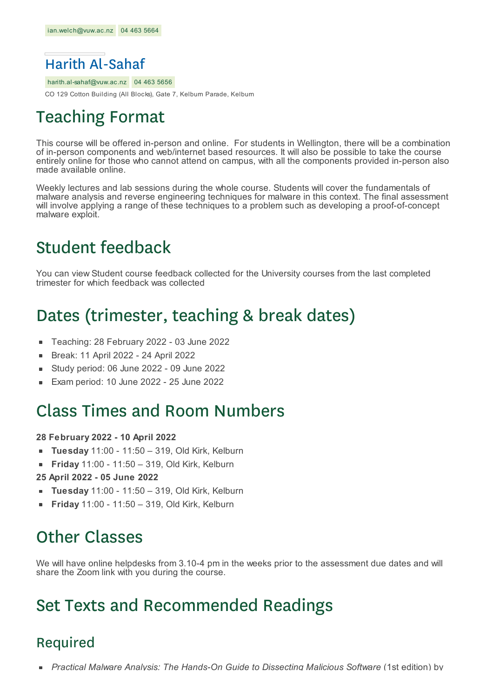

harith.al-sahaf@vuw.ac.nz 04 463 5656

CO 129 Cotton Building (All Blocks), Gate 7, Kelburn Parade, Kelburn

### Teaching Format

This course will be offered in-person and online. For students in Wellington, there will be a combination of in-person components and web/internet based resources. It will also be possible to take the course entirely online for those who cannot attend on campus, with all the components provided in-person also made available online.

Weekly lectures and lab sessions during the whole course. Students will cover the fundamentals of malware analysis and reverse engineering techniques for malware in this context. The final assessment will involve applying a range of these techniques to a problem such as developing a proof-of-concept malware exploit.

## Student feedback

You can view Student course feedback collected for the University courses from the last completed trimester for which feedback was collected

## Dates (trimester, teaching & break dates)

- $\blacksquare$ Teaching: 28 February 2022 - 03 June 2022
- Break: 11 April 2022 24 April 2022
- Study period: 06 June 2022 09 June 2022  $\blacksquare$
- Exam period: 10 June 2022 25 June 2022

### Class Times and Room Numbers

#### **28 February 2022 - 10 April 2022**

- **Tuesday** 11:00 11:50 319, Old Kirk, Kelburn
- **Friday** 11:00 11:50 319, Old Kirk, Kelburn  $\blacksquare$
- **25 April 2022 - 05 June 2022**
- **Tuesday** 11:00 11:50 319, Old Kirk, Kelburn
- **Friday** 11:00 11:50 319, Old Kirk, Kelburn

## Other Classes

We will have online helpdesks from 3.10-4 pm in the weeks prior to the assessment due dates and will share the Zoom link with you during the course.

### Set Texts and Recommended Readings

### Required

*Practical Malware Analysis: The Hands-On Guide to Dissecting Malicious Software* (1st edition) by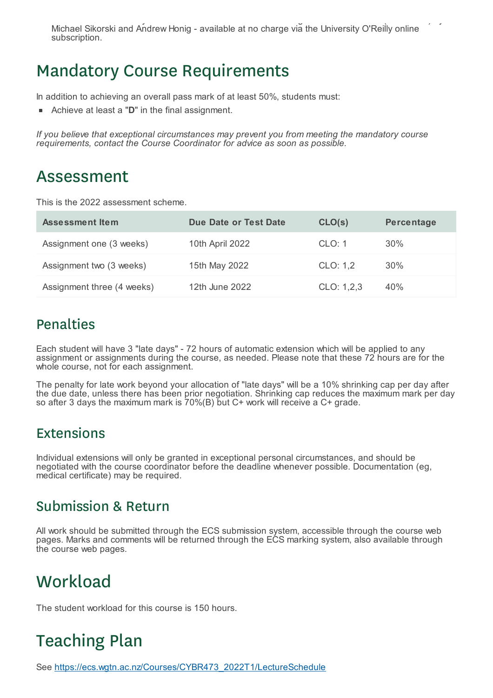*Practical Malware Analysis: The Hands-On Guide to Dissecting Malicious Software* (1st edition) by Michael Sikorski and Andrew Honig - available at no charge via the University O'Reilly online subscription.

### Mandatory Course Requirements

In addition to achieving an overall pass mark of at least 50%, students must:

Achieve at least a "**D**" in the final assignment.

*If you believe that exceptional circumstances may prevent you from meeting the mandatory course requirements, contact the Course Coordinator for advice as soon as possible.*

### Assessment

This is the 2022 assessment scheme.

| Assessment Item            | <b>Due Date or Test Date</b> | CLO(s)     | Percentage |
|----------------------------|------------------------------|------------|------------|
| Assignment one (3 weeks)   | 10th April 2022              | CLO: 1     | 30%        |
| Assignment two (3 weeks)   | 15th May 2022                | CLO: 1,2   | 30%        |
| Assignment three (4 weeks) | 12th June 2022               | CLO: 1,2,3 | 40%        |

#### Penalties

Each student will have 3 "late days" - 72 hours of automatic extension which will be applied to any assignment or assignments during the course, as needed. Please note that these 72 hours are for the whole course, not for each assignment.

The penalty for late work beyond your allocation of "late days" will be a 10% shrinking cap per day after the due date, unless there has been prior negotiation. Shrinking cap reduces the maximum mark per day so after 3 days the maximum mark is 70%(B) but C+ work will receive a C+ grade.

#### Extensions

Individual extensions will only be granted in exceptional personal circumstances, and should be negotiated with the course coordinator before the deadline whenever possible. Documentation (eg, medical certificate) may be required.

#### Submission & Return

All work should be submitted through the ECS submission system, accessible through the course web pages. Marks and comments will be returned through the ECS marking system, also available through the course web pages.

## **Workload**

The student workload for this course is 150 hours.

# Teaching Plan

See https://ecs.wgtn.ac.nz/Courses/CYBR473\_2022T1/LectureSchedule